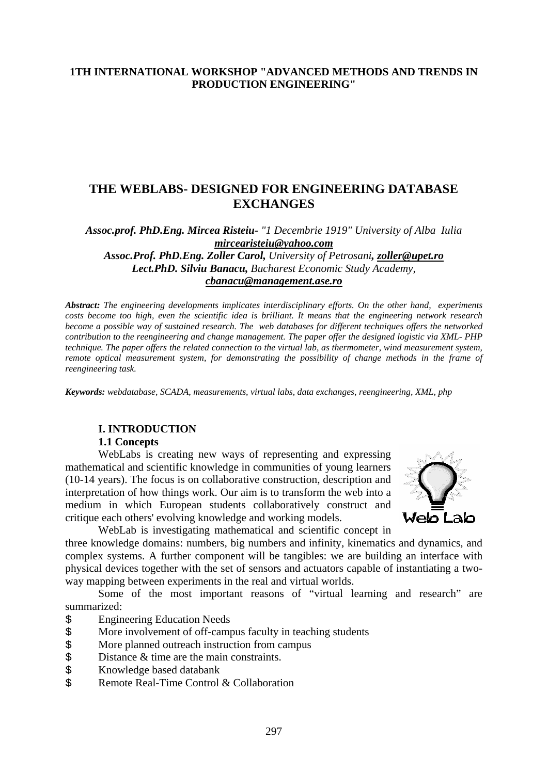#### **1TH INTERNATIONAL WORKSHOP "ADVANCED METHODS AND TRENDS IN PRODUCTION ENGINEERING"**

# **THE WEBLABS- DESIGNED FOR ENGINEERING DATABASE EXCHANGES**

*Assoc.prof. PhD.Eng. Mircea Risteiu- "1 Decembrie 1919" University of Alba Iulia [mircearisteiu@yahoo.com](mailto:mircearisteiu@yahoo.com)* 

*Assoc.Prof. PhD.Eng. Zoller Carol, University of Petrosani, [zoller@upet.ro](mailto:zoller@upet.ro) Lect.PhD. Silviu Banacu, Bucharest Economic Study Academy, [cbanacu@management.ase.ro](mailto:cbanacu@management.ase)*

*Abstract: The engineering developments implicates interdisciplinary efforts. On the other hand, experiments costs become too high, even the scientific idea is brilliant. It means that the engineering network research become a possible way of sustained research. The web databases for different techniques offers the networked contribution to the reengineering and change management. The paper offer the designed logistic via XML- PHP technique. The paper offers the related connection to the virtual lab, as thermometer, wind measurement system, remote optical measurement system, for demonstrating the possibility of change methods in the frame of reengineering task.* 

*Keywords: webdatabase, SCADA, measurements, virtual labs, data exchanges, reengineering, XML, php* 

#### **I. INTRODUCTION**

#### **1.1 Concepts**

WebLabs is creating new ways of representing and expressing mathematical and scientific knowledge in communities of young learners (10-14 years). The focus is on collaborative construction, description and interpretation of how things work. Our aim is to transform the web into a medium in which European students collaboratively construct and critique each others' evolving knowledge and working models.



WebLab is investigating mathematical and scientific concept in

three knowledge domains: numbers, big numbers and infinity, kinematics and dynamics, and complex systems. A further component will be tangibles: we are building an interface with physical devices together with the set of sensors and actuators capable of instantiating a twoway mapping between experiments in the real and virtual worlds.

Some of the most important reasons of "virtual learning and research" are summarized:

- \$ Engineering Education Needs
- \$ More involvement of off-campus faculty in teaching students
- \$ More planned outreach instruction from campus
- $\frac{1}{5}$  Distance & time are the main constraints.<br>S Knowledge based databank
- \$ Knowledge based databank
- \$ Remote Real-Time Control & Collaboration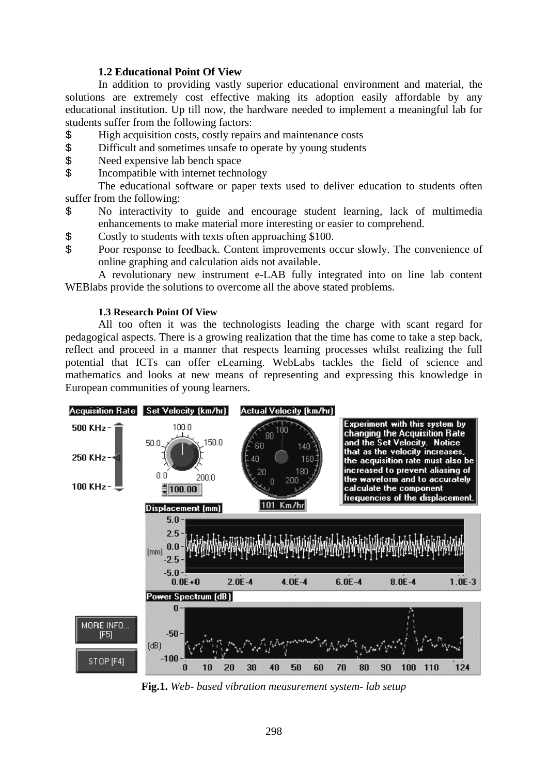#### **1.2 Educational Point Of View**

 In addition to providing vastly superior educational environment and material, the solutions are extremely cost effective making its adoption easily affordable by any educational institution. Up till now, the hardware needed to implement a meaningful lab for students suffer from the following factors:

- \$ High acquisition costs, costly repairs and maintenance costs
- \$ Difficult and sometimes unsafe to operate by young students<br>\$ Need expensive lab bench space
- Need expensive lab bench space
- \$ Incompatible with internet technology

The educational software or paper texts used to deliver education to students often suffer from the following:

- \$ No interactivity to guide and encourage student learning, lack of multimedia enhancements to make material more interesting or easier to comprehend.
- \$ Costly to students with texts often approaching \$100.
- \$ Poor response to feedback. Content improvements occur slowly. The convenience of online graphing and calculation aids not available.

A revolutionary new instrument e-LAB fully integrated into on line lab content WEBlabs provide the solutions to overcome all the above stated problems.

#### **1.3 Research Point Of View**

All too often it was the technologists leading the charge with scant regard for pedagogical aspects. There is a growing realization that the time has come to take a step back, reflect and proceed in a manner that respects learning processes whilst realizing the full potential that ICTs can offer eLearning. WebLabs tackles the field of science and mathematics and looks at new means of representing and expressing this knowledge in European communities of young learners.



**Fig.1.** *Web- based vibration measurement system- lab setup*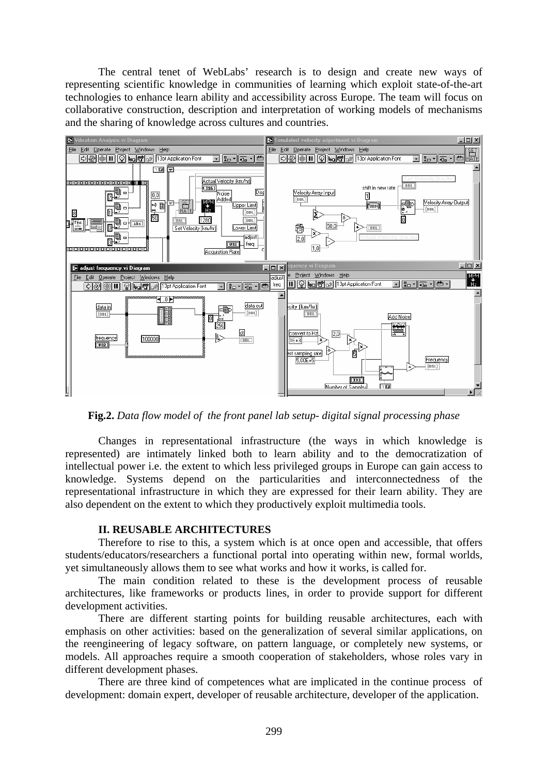The central tenet of WebLabs' research is to design and create new ways of representing scientific knowledge in communities of learning which exploit state-of-the-art technologies to enhance learn ability and accessibility across Europe. The team will focus on collaborative construction, description and interpretation of working models of mechanisms and the sharing of knowledge across cultures and countries.



**Fig.2.** *Data flow model of the front panel lab setup- digital signal processing phase*

Changes in representational infrastructure (the ways in which knowledge is represented) are intimately linked both to learn ability and to the democratization of intellectual power i.e. the extent to which less privileged groups in Europe can gain access to knowledge. Systems depend on the particularities and interconnectedness of the representational infrastructure in which they are expressed for their learn ability. They are also dependent on the extent to which they productively exploit multimedia tools.

#### **II. REUSABLE ARCHITECTURES**

Therefore to rise to this, a system which is at once open and accessible, that offers students/educators/researchers a functional portal into operating within new, formal worlds, yet simultaneously allows them to see what works and how it works, is called for.

The main condition related to these is the development process of reusable architectures, like frameworks or products lines, in order to provide support for different development activities.

There are different starting points for building reusable architectures, each with emphasis on other activities: based on the generalization of several similar applications, on the reengineering of legacy software, on pattern language, or completely new systems, or models. All approaches require a smooth cooperation of stakeholders, whose roles vary in different development phases.

There are three kind of competences what are implicated in the continue process of development: domain expert, developer of reusable architecture, developer of the application.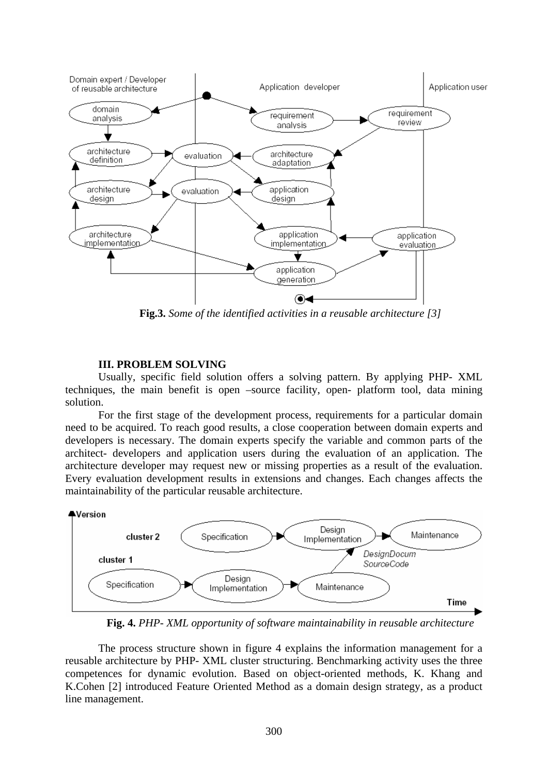

**Fig.3.** *Some of the identified activities in a reusable architecture [3]* 

#### **III. PROBLEM SOLVING**

Usually, specific field solution offers a solving pattern. By applying PHP- XML techniques, the main benefit is open –source facility, open- platform tool, data mining solution.

For the first stage of the development process, requirements for a particular domain need to be acquired. To reach good results, a close cooperation between domain experts and developers is necessary. The domain experts specify the variable and common parts of the architect- developers and application users during the evaluation of an application. The architecture developer may request new or missing properties as a result of the evaluation. Every evaluation development results in extensions and changes. Each changes affects the maintainability of the particular reusable architecture.



**Fig. 4.** *PHP- XML opportunity of software maintainability in reusable architecture*

The process structure shown in figure 4 explains the information management for a reusable architecture by PHP- XML cluster structuring. Benchmarking activity uses the three competences for dynamic evolution. Based on object-oriented methods, K. Khang and K.Cohen [2] introduced Feature Oriented Method as a domain design strategy, as a product line management.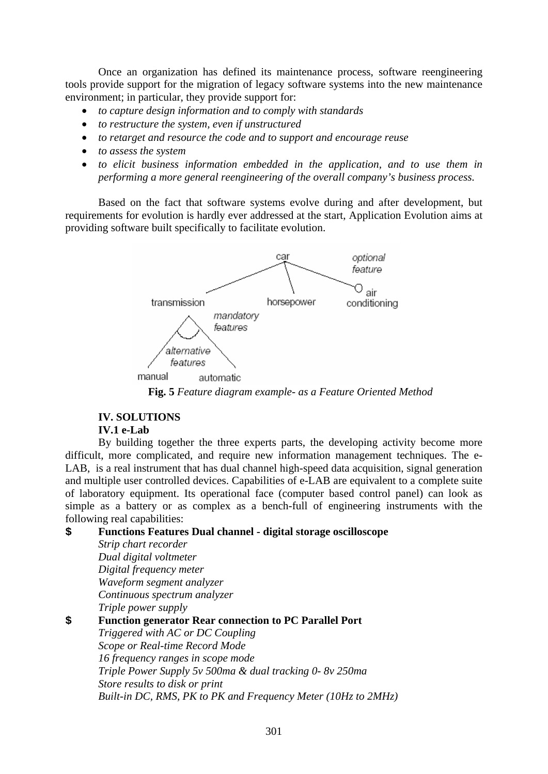Once an organization has defined its maintenance process, software reengineering tools provide support for the migration of legacy software systems into the new maintenance environment; in particular, they provide support for:

- *to capture design information and to comply with standards*
- *to restructure the system, even if unstructured*
- *to retarget and resource the code and to support and encourage reuse*
- *to assess the system*
- *to elicit business information embedded in the application, and to use them in performing a more general reengineering of the overall company's business process.*

Based on the fact that software systems evolve during and after development, but requirements for evolution is hardly ever addressed at the start, Application Evolution aims at providing software built specifically to facilitate evolution.



**Fig. 5** *Feature diagram example- as a Feature Oriented Method*

# **IV. SOLUTIONS**

*Strip chart recorder* 

## **IV.1 e-Lab**

By building together the three experts parts, the developing activity become more difficult, more complicated, and require new information management techniques. The e-LAB, is a real instrument that has dual channel high-speed data acquisition, signal generation and multiple user controlled devices. Capabilities of e-LAB are equivalent to a complete suite of laboratory equipment. Its operational face (computer based control panel) can look as simple as a battery or as complex as a bench-full of engineering instruments with the following real capabilities:

### **\$ Functions Features Dual channel - digital storage oscilloscope**

*Dual digital voltmeter Digital frequency meter Waveform segment analyzer Continuous spectrum analyzer Triple power supply*  **\$ Function generator Rear connection to PC Parallel Port**  *Triggered with AC or DC Coupling Scope or Real-time Record Mode 16 frequency ranges in scope mode Triple Power Supply 5v 500ma & dual tracking 0- 8v 250ma Store results to disk or print Built-in DC, RMS, PK to PK and Frequency Meter (10Hz to 2MHz)*